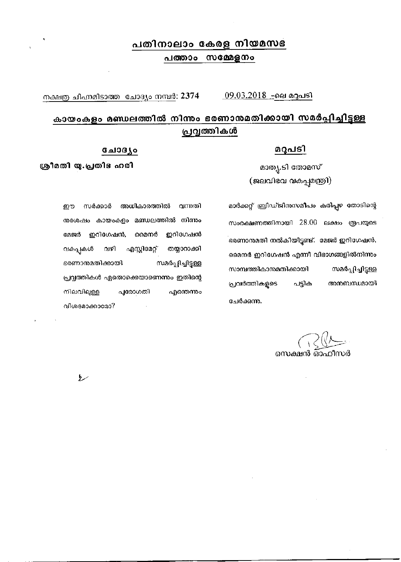## പതിനാലാം കേരള നിയമസഭ പത്താം സമ്മേളനം

<u>\_09.03.2018\_-</u>ലെ മറുപടി നക്ഷത്ര ചിഹ്നമിടാത്ത ചോദ്യം നമ്പർ: 2374

വന്നതി

## കായംകളം മണ്ഡലത്തിൽ നിന്നം ഭരണാന്മമതിക്കായി സമർപ്പിച്ചിട്ടള്ള പ്രവൃത്തികൾ

## <u>മറുപടി</u>

മാതൃ.ടി തോമസ<mark>്</mark> (ജലവിഭവ വകുപ്പുമന്ത്രി)

മാർക്കറ്റ് ബ്രിഡ്ജിനുസമീപം കരിപ്പഴ തോടിന്റെ സംരക്ഷണത്തിനായി 28.00 ലക്ഷം രൂപയുടെ ഭരണാന്മതി നൽകിയിട്ടുണ്ട്. മേജർ ഇറിഗേഷൻ, മൈനർ ഇറിഗേഷൻ എന്നീ വിഭാഗങ്ങളിൽനിന്നും സാമ്പത്തികാനമതിക്കായി സമർപ്പിച്ചിട്ടള്ള പ്രവർത്തികളുടെ പട്ടിക അനബന്ധമായി ചേർക്കന്നു.

ന്തശേഷം കായംകളം മണ്ഡലത്തിൽ നിന്നും മേജർ ഇറിഗേഷൻ, മൈനർ ഇറിഗേഷൻ വകപ്പുകൾ വഴി എസ്റ്റിമേറ്റ് തയ്യാറാക്കി ഭരണാന്മമതിക്കായി സമർപ്പിച്ചിട്ടുള്ള പ്രവൃത്തികൾ ഏതൊക്കെയാണെന്നും ഇതിന്റെ നിലവിലുള്ള പുരോഗതി എന്തെന്നും വിശദമാക്കാമോ?

അധികാരത്തിൽ

ചോദ്യം

ശ്രീമതി യു.പ്രതിഭഹരി

سط

ഈ

സർക്കാർ

സെക്ഷൻ ഓഫീസർ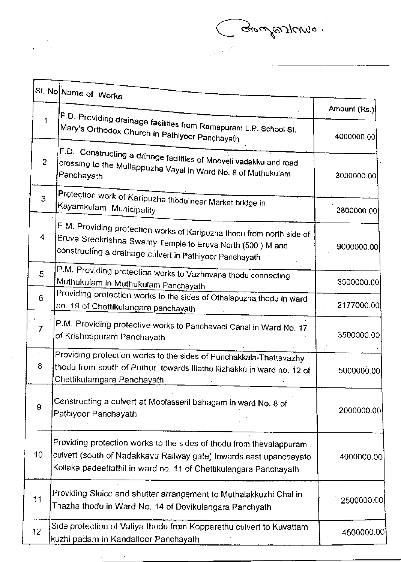Gebules/Compo.

in<br>1974

 $\bar{\gamma}$ 

|                 | SI. No Name of Works                                                                                                                                                                                           |              |
|-----------------|----------------------------------------------------------------------------------------------------------------------------------------------------------------------------------------------------------------|--------------|
|                 |                                                                                                                                                                                                                | Amount (Rs.) |
| $1 -$           | $ \mathsf{F.D.}$ Providing drainage facilities from Ramapuram L.P. School St.<br>Mary's Orthodox Church in Pathlyoor Panchayath                                                                                | 4000000.00   |
| $\overline{c}$  | F.D. Constructing a drinage facilities of Mooveli vadakku and road<br>crossing to the Mullappuzha Vayal in Ward No. 8 of Muthukulam<br>Panchayath                                                              | 3000000.00   |
| 3               | Protection work of Karipuzha thodu near Market bridge in<br>Kayamkulam Municipality                                                                                                                            | 2800000.00   |
| 4               | $\mathsf{P.M.}$ Providing protection works of Karipuzha thodu from north side of<br>Eruva Sreekrishna Swamy Temple to Eruva North (500) M and<br>constructing a drainage culvert in Pathiyoor Panchayath       | 9000000.00   |
| 5               | P.M. Providing protection works to Vazhavana thodu connecting<br>Muthukulam in Muthukulam Panchayath                                                                                                           | 3500000.00   |
| 6               | Providing protection works to the sides of Othalapuzha thodu in ward<br>no. 19 of Chettikulangara panchayath                                                                                                   | 2177000.00   |
| 7               | P.M. Providing protective works to Panchavadi Canal in Ward No. 17<br>of Krishnapuram Panchayath                                                                                                               | 3500000.00   |
| 8               | Providing protection works to the sides of Punchakkala-Thattavazhy<br>thodu from south of Puthur towards Illathu kizhakku in ward no. 12 of<br>Chettikulamgara Panchayath                                      | 5000000.00   |
| 9               | Constructing a culvert at Moolasseril bahagam in ward No. 8 of<br>Pathiyoor Panchayath                                                                                                                         | 2000000.00   |
| 10              | Providing protection works to the sides of thodu from thevalappuram<br>culvert (south of Nadakkavu Railway gate) towards east upanchayato<br>Kollaka padeettathil in ward no. 11 of Chettikulangara Panchayath | 4000000.00   |
| 11              | Providing Sluice and shutter arrangement to Muthalakkuzhi Chal in<br>Thazha thodu in Ward No. 14 of Devikulangara Panchyath                                                                                    | 2500000.00   |
| 12 <sub>2</sub> | Side protection of Valiya thodu from Kopparethu culvert to Kuvattam<br>kuzhi padam in Kandalloor Panchayath                                                                                                    | 4500000.00   |

 $\hat{\mathcal{L}}^{(1)}$ 

 $\frac{1}{2} \frac{1}{2} \frac{1}{2} \frac{1}{2}$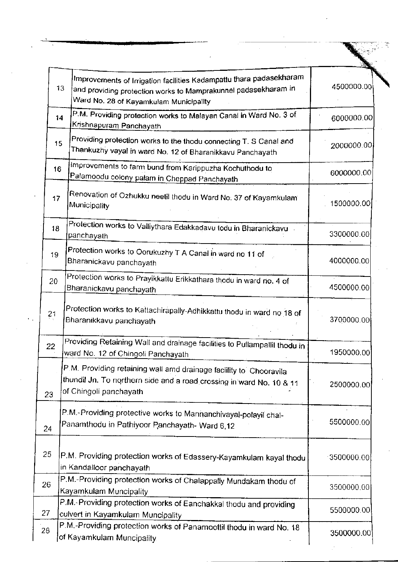| 13 <sub>13</sub> | Improvements of Irrigation facilities Kadampattu thara padasekharam<br><sup>[and</sup> providing protection works to Mamprakunnel padasekharam in<br>Ward No. 28 of Kayamkulam Municipality | 4500000.00 |
|------------------|---------------------------------------------------------------------------------------------------------------------------------------------------------------------------------------------|------------|
| 14               | P.M. Providing protection works to Malayan Canal in Ward No. 3 of<br><u> Krishnapuram Panchayath</u>                                                                                        | 6000000.00 |
| 15               | Providing protection works to the thodu connecting T. S Canal and<br>Thankuzhy vayal in ward No. 12 of Bharanikkavu Panchayath                                                              | 2000000.00 |
| 16               | Improvements to farm bund from Karippuzha Kochuthodu to<br>Palamoodu colony palam in Cheppad Panchayath                                                                                     | 6000000.00 |
| 17               | Renovation of Ozhukku neetil thodu in Ward No. 37 of Kayamkulam<br>Municipality                                                                                                             | 1500000.00 |
| 18               | Protection works to Valliythara Edakkadavu todu in Bharanickavu<br>panchayath                                                                                                               | 3300000.00 |
| 19               | Protection works to Oorukuzhy T A Canal in ward no 11 of<br>Bharanickavu panchayath                                                                                                         | 4000000.00 |
| 20               | Protection works to Prayikkattu Erikkathara thodu in ward no. 4 of<br>Bharanickavu panchayath                                                                                               | 4500000.00 |
| 21               | Protection works to Kattachirapally-Adhikkattu thodu in ward no 18 of<br>Bharanikkavu panchayath                                                                                            | 3700000.00 |
| 22               | Providing Retaining Wall and drainage facilities to Pullampallil thodu in<br>ward No. 12 of Chingoli Panchayath                                                                             | 1950000.00 |
| 23               | P.M. Providing retaining wall amd drainage facility to Chooravila<br>thundil Jn. To northern side and a road crossing in ward No. 10 & 11<br>of Chingoli panchayath                         | 2500000.00 |
| 24               | P.M.-Providing protective works to Mannanchivayal-polayil chal-<br>Panamthodu in Pathiyoor Panchayath- Ward 6,12                                                                            | 5500000.00 |
| 25               | P.M. Providing protection works of Edassery-Kayamkulam kayal thodu.<br>in Kandalloor panchayath                                                                                             | 3500000.00 |
| 26               | P.M.-Providing protection works of Chalappally Mundakam thodu of<br>Kayamkulam Muncipality                                                                                                  | 3500000.00 |
| 27               | P.M.-Providing protection works of Eanchakkal thodu and providing<br>culvert in Kayamkulam Muncipality                                                                                      | 5500000.00 |
| 28               | P.M.-Providing protection works of Panamoottil thodu in ward No. 18<br>of Kayamkulam Muncipality.                                                                                           | 3500000.00 |

 $\frac{3}{2}$